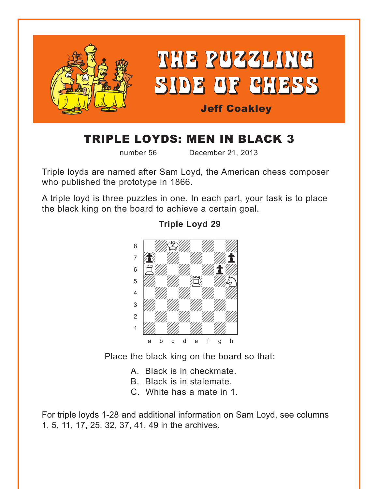<span id="page-0-0"></span>

# TRIPLE LOYDS: MEN IN BLACK 3

number 56 December 21, 2013

Triple loyds are named after Sam Loyd, the American chess composer who published the prototype in 1866.

A triple loyd is three puzzles in one. In each part, your task is to place the black king on the board to achieve a certain goal.



#### **[Triple Loyd 29](#page-4-0)**

Place the black king on the board so that:

- A. Black is in checkmate.
- B. Black is in stalemate.
- C. White has a mate in 1.

For triple loyds 1-28 and additional information on Sam Loyd, see columns 1, 5, 11, 17, 25, 32, 37, 41, 49 in the archives.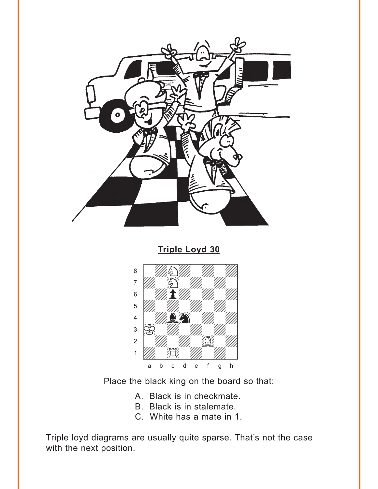<span id="page-1-0"></span>

**Triple Loyd 30** 



Place the black king on the board so that:

A. Black is in checkmate.

- B. Black is in stalemate.
- C. White has a mate in 1.

Triple loyd diagrams are usually quite sparse. That's not the case with the next position.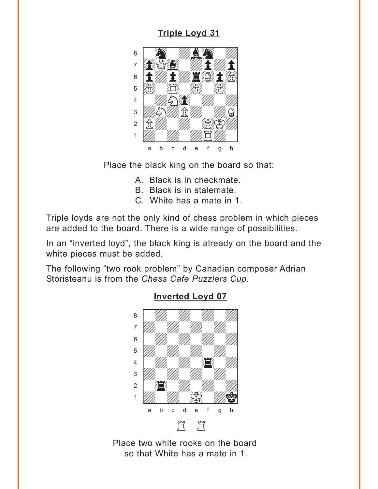## **Triple Loyd 31**

<span id="page-2-0"></span>

Place the black king on the board so that:

- A. Black is in checkmate.
- B. Black is in stalemate.
- C. White has a mate in 1.

Triple loyds are not the only kind of chess problem in which pieces are added to the board. There is a wide range of possibilities.

In an "inverted loyd", the black king is already on the board and the white pieces must be added.

The following "two rook problem" by Canadian composer Adrian Storisteanu is from the Chess Cafe Puzzlers Cup.



#### **Inverted Loyd 07**

Place two white rooks on the board so that White has a mate in 1.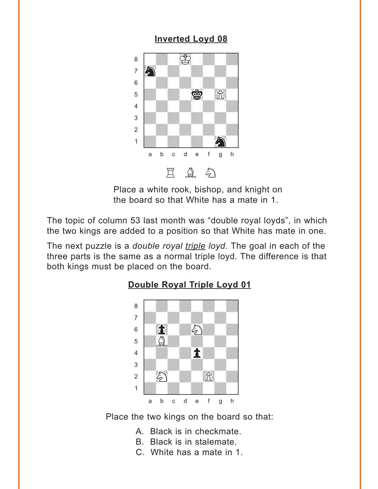## **Inverted Loyd 08**

<span id="page-3-0"></span>

Place a white rook, bishop, and knight on the board so that White has a mate in 1.

The topic of column 53 last month was "double royal loyds", in which the two kings are added to a position so that White has mate in one.

The next puzzle is a *double royal triple loyd*. The goal in each of the three parts is the same as a normal triple loyd. The difference is that both kings must be placed on the board.

### Double Royal Triple Loyd 01



Place the two kings on the board so that:

- A. Black is in checkmate.
- B. Black is in stalemate.
- C. White has a mate in 1.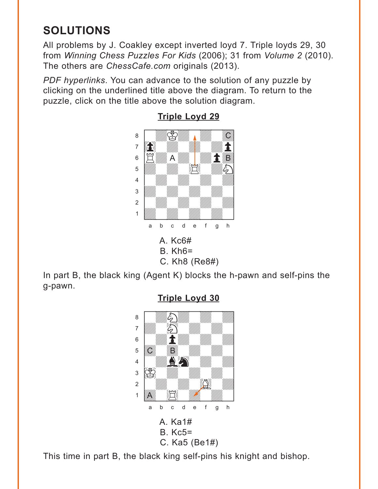# <span id="page-4-0"></span>**SOLUTIONS**

All problems by J. Coakley except inverted loyd 7. Triple loyds 29, 30 from *Winning Chess Puzzles For Kids* (2006); 31 from *Volume 2* (2010). The others are *ChessCafe.com* originals (2013).

*PDF hyperlinks*. You can advance to the solution of any puzzle by clicking on the underlined title above the diagram. To return to the puzzle, click on the title above the solution diagram.



**[Triple Loyd 29](#page-0-0)**

In part B, the black king (Agent K) blocks the h-pawn and self-pins the g-pawn.



**[Triple Loyd 30](#page-1-0)**

This time in part B, the black king self-pins his knight and bishop.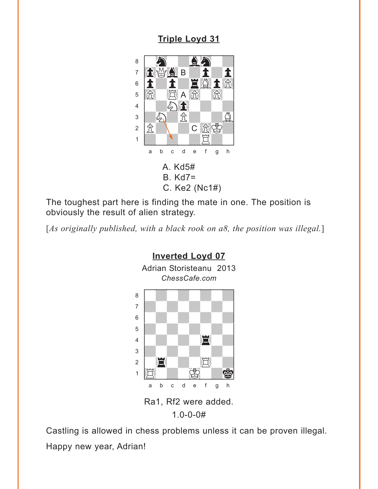## **[Triple Loyd 31](#page-2-0)**

<span id="page-5-0"></span>

The toughest part here is finding the mate in one. The position is obviously the result of alien strategy.

[*As originally published, with a black rook on a8, the position was illegal.*]



Ra1, Rf2 were added. 1.0-0-0#

Castling is allowed in chess problems unless it can be proven illegal. Happy new year, Adrian!